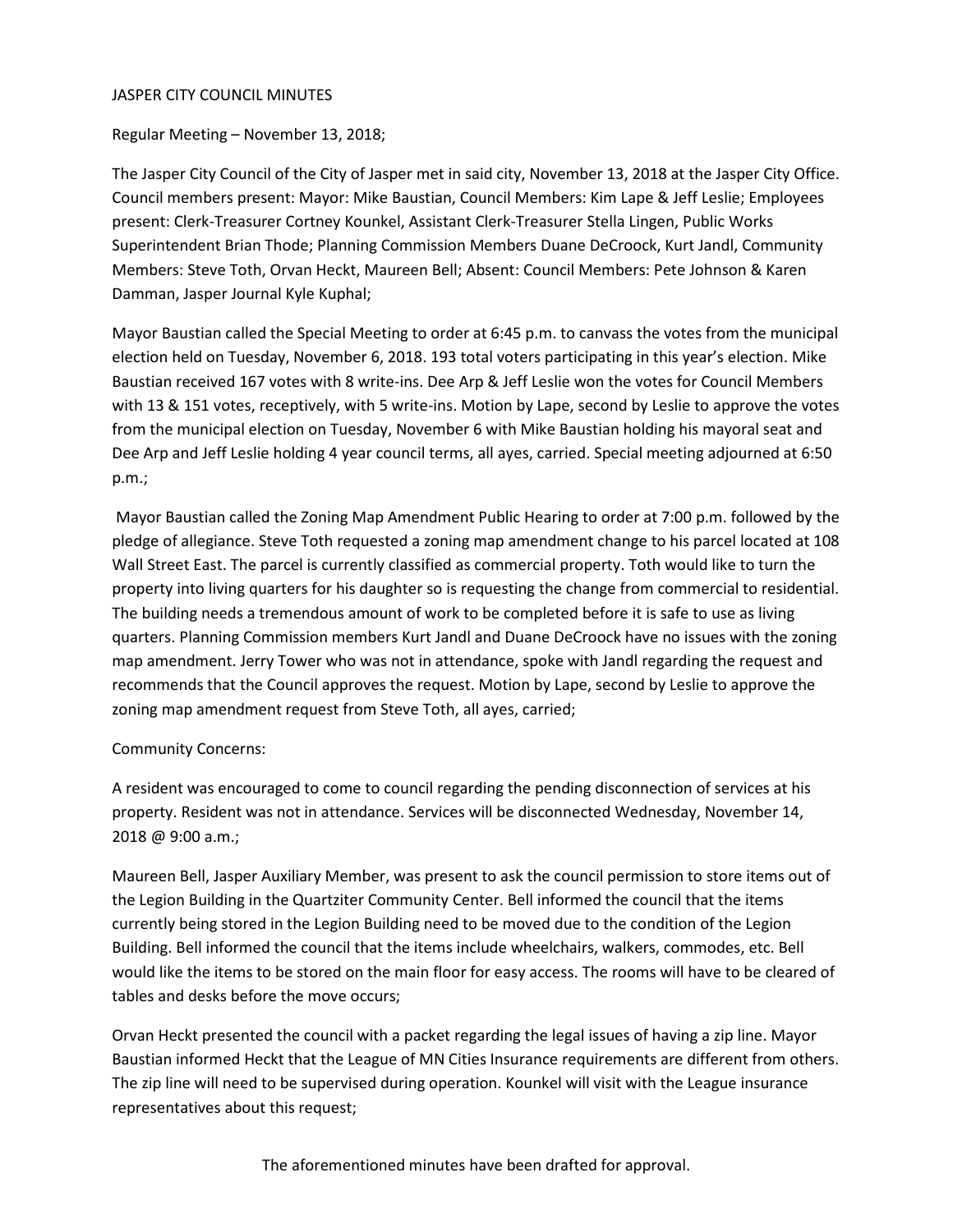#### JASPER CITY COUNCIL MINUTES

Regular Meeting – November 13, 2018;

The Jasper City Council of the City of Jasper met in said city, November 13, 2018 at the Jasper City Office. Council members present: Mayor: Mike Baustian, Council Members: Kim Lape & Jeff Leslie; Employees present: Clerk-Treasurer Cortney Kounkel, Assistant Clerk-Treasurer Stella Lingen, Public Works Superintendent Brian Thode; Planning Commission Members Duane DeCroock, Kurt Jandl, Community Members: Steve Toth, Orvan Heckt, Maureen Bell; Absent: Council Members: Pete Johnson & Karen Damman, Jasper Journal Kyle Kuphal;

Mayor Baustian called the Special Meeting to order at 6:45 p.m. to canvass the votes from the municipal election held on Tuesday, November 6, 2018. 193 total voters participating in this year's election. Mike Baustian received 167 votes with 8 write-ins. Dee Arp & Jeff Leslie won the votes for Council Members with 13 & 151 votes, receptively, with 5 write-ins. Motion by Lape, second by Leslie to approve the votes from the municipal election on Tuesday, November 6 with Mike Baustian holding his mayoral seat and Dee Arp and Jeff Leslie holding 4 year council terms, all ayes, carried. Special meeting adjourned at 6:50 p.m.;

Mayor Baustian called the Zoning Map Amendment Public Hearing to order at 7:00 p.m. followed by the pledge of allegiance. Steve Toth requested a zoning map amendment change to his parcel located at 108 Wall Street East. The parcel is currently classified as commercial property. Toth would like to turn the property into living quarters for his daughter so is requesting the change from commercial to residential. The building needs a tremendous amount of work to be completed before it is safe to use as living quarters. Planning Commission members Kurt Jandl and Duane DeCroock have no issues with the zoning map amendment. Jerry Tower who was not in attendance, spoke with Jandl regarding the request and recommends that the Council approves the request. Motion by Lape, second by Leslie to approve the zoning map amendment request from Steve Toth, all ayes, carried;

## Community Concerns:

A resident was encouraged to come to council regarding the pending disconnection of services at his property. Resident was not in attendance. Services will be disconnected Wednesday, November 14, 2018 @ 9:00 a.m.;

Maureen Bell, Jasper Auxiliary Member, was present to ask the council permission to store items out of the Legion Building in the Quartziter Community Center. Bell informed the council that the items currently being stored in the Legion Building need to be moved due to the condition of the Legion Building. Bell informed the council that the items include wheelchairs, walkers, commodes, etc. Bell would like the items to be stored on the main floor for easy access. The rooms will have to be cleared of tables and desks before the move occurs;

Orvan Heckt presented the council with a packet regarding the legal issues of having a zip line. Mayor Baustian informed Heckt that the League of MN Cities Insurance requirements are different from others. The zip line will need to be supervised during operation. Kounkel will visit with the League insurance representatives about this request;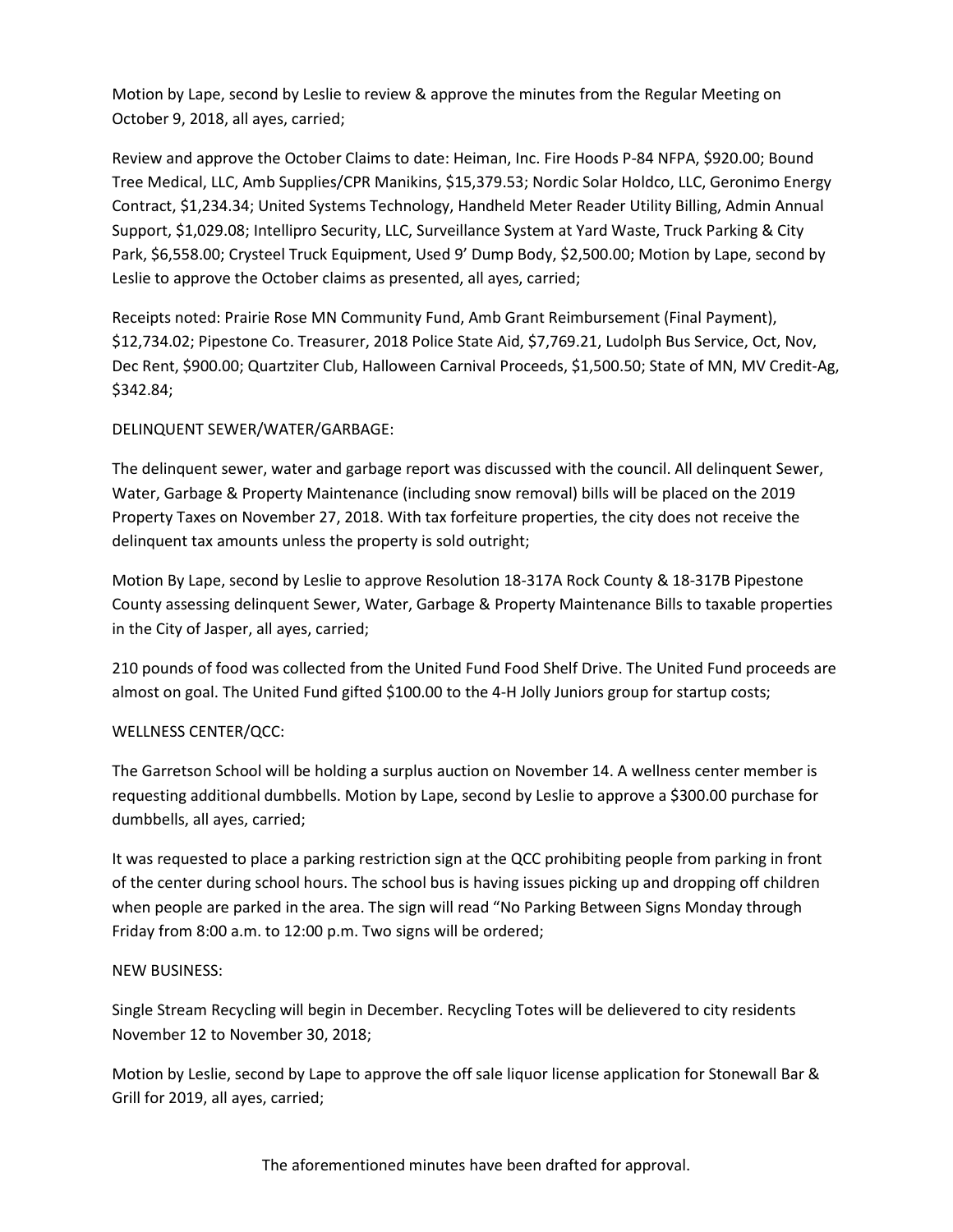Motion by Lape, second by Leslie to review & approve the minutes from the Regular Meeting on October 9, 2018, all ayes, carried;

Review and approve the October Claims to date: Heiman, Inc. Fire Hoods P-84 NFPA, \$920.00; Bound Tree Medical, LLC, Amb Supplies/CPR Manikins, \$15,379.53; Nordic Solar Holdco, LLC, Geronimo Energy Contract, \$1,234.34; United Systems Technology, Handheld Meter Reader Utility Billing, Admin Annual Support, \$1,029.08; Intellipro Security, LLC, Surveillance System at Yard Waste, Truck Parking & City Park, \$6,558.00; Crysteel Truck Equipment, Used 9' Dump Body, \$2,500.00; Motion by Lape, second by Leslie to approve the October claims as presented, all ayes, carried;

Receipts noted: Prairie Rose MN Community Fund, Amb Grant Reimbursement (Final Payment), \$12,734.02; Pipestone Co. Treasurer, 2018 Police State Aid, \$7,769.21, Ludolph Bus Service, Oct, Nov, Dec Rent, \$900.00; Quartziter Club, Halloween Carnival Proceeds, \$1,500.50; State of MN, MV Credit-Ag, \$342.84;

# DELINQUENT SEWER/WATER/GARBAGE:

The delinquent sewer, water and garbage report was discussed with the council. All delinquent Sewer, Water, Garbage & Property Maintenance (including snow removal) bills will be placed on the 2019 Property Taxes on November 27, 2018. With tax forfeiture properties, the city does not receive the delinquent tax amounts unless the property is sold outright;

Motion By Lape, second by Leslie to approve Resolution 18-317A Rock County & 18-317B Pipestone County assessing delinquent Sewer, Water, Garbage & Property Maintenance Bills to taxable properties in the City of Jasper, all ayes, carried;

210 pounds of food was collected from the United Fund Food Shelf Drive. The United Fund proceeds are almost on goal. The United Fund gifted \$100.00 to the 4-H Jolly Juniors group for startup costs;

## WELLNESS CENTER/QCC:

The Garretson School will be holding a surplus auction on November 14. A wellness center member is requesting additional dumbbells. Motion by Lape, second by Leslie to approve a \$300.00 purchase for dumbbells, all ayes, carried;

It was requested to place a parking restriction sign at the QCC prohibiting people from parking in front of the center during school hours. The school bus is having issues picking up and dropping off children when people are parked in the area. The sign will read "No Parking Between Signs Monday through Friday from 8:00 a.m. to 12:00 p.m. Two signs will be ordered;

## NEW BUSINESS:

Single Stream Recycling will begin in December. Recycling Totes will be delievered to city residents November 12 to November 30, 2018;

Motion by Leslie, second by Lape to approve the off sale liquor license application for Stonewall Bar & Grill for 2019, all ayes, carried;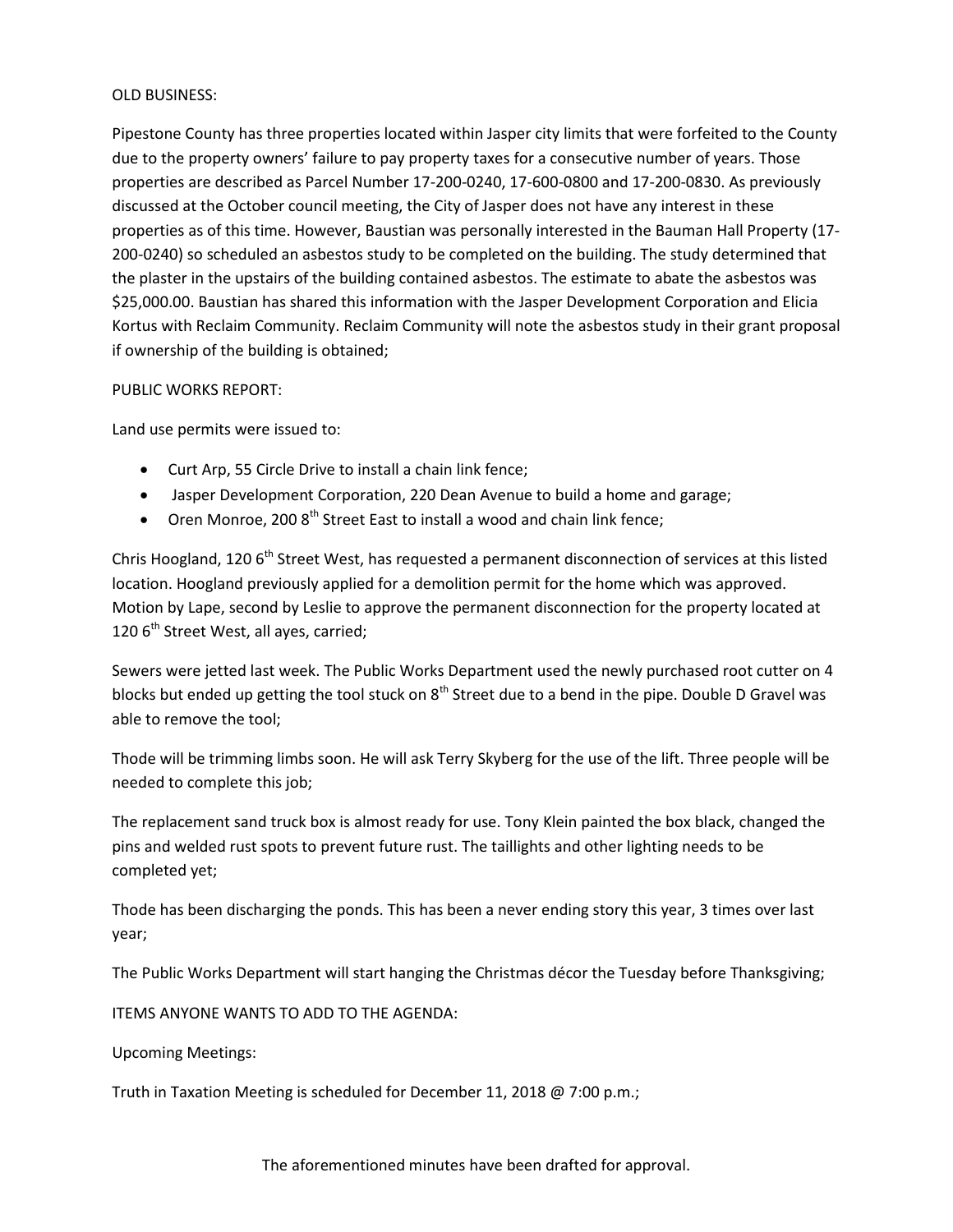#### OLD BUSINESS:

Pipestone County has three properties located within Jasper city limits that were forfeited to the County due to the property owners' failure to pay property taxes for a consecutive number of years. Those properties are described as Parcel Number 17-200-0240, 17-600-0800 and 17-200-0830. As previously discussed at the October council meeting, the City of Jasper does not have any interest in these properties as of this time. However, Baustian was personally interested in the Bauman Hall Property (17- 200-0240) so scheduled an asbestos study to be completed on the building. The study determined that the plaster in the upstairs of the building contained asbestos. The estimate to abate the asbestos was \$25,000.00. Baustian has shared this information with the Jasper Development Corporation and Elicia Kortus with Reclaim Community. Reclaim Community will note the asbestos study in their grant proposal if ownership of the building is obtained;

## PUBLIC WORKS REPORT:

Land use permits were issued to:

- Curt Arp, 55 Circle Drive to install a chain link fence;
- Jasper Development Corporation, 220 Dean Avenue to build a home and garage;
- Oren Monroe, 200  $8<sup>th</sup>$  Street East to install a wood and chain link fence;

Chris Hoogland, 120  $6<sup>th</sup>$  Street West, has requested a permanent disconnection of services at this listed location. Hoogland previously applied for a demolition permit for the home which was approved. Motion by Lape, second by Leslie to approve the permanent disconnection for the property located at 120  $6<sup>th</sup>$  Street West, all ayes, carried;

Sewers were jetted last week. The Public Works Department used the newly purchased root cutter on 4 blocks but ended up getting the tool stuck on  $8<sup>th</sup>$  Street due to a bend in the pipe. Double D Gravel was able to remove the tool;

Thode will be trimming limbs soon. He will ask Terry Skyberg for the use of the lift. Three people will be needed to complete this job;

The replacement sand truck box is almost ready for use. Tony Klein painted the box black, changed the pins and welded rust spots to prevent future rust. The taillights and other lighting needs to be completed yet;

Thode has been discharging the ponds. This has been a never ending story this year, 3 times over last year;

The Public Works Department will start hanging the Christmas décor the Tuesday before Thanksgiving;

ITEMS ANYONE WANTS TO ADD TO THE AGENDA:

Upcoming Meetings:

Truth in Taxation Meeting is scheduled for December 11, 2018 @ 7:00 p.m.;